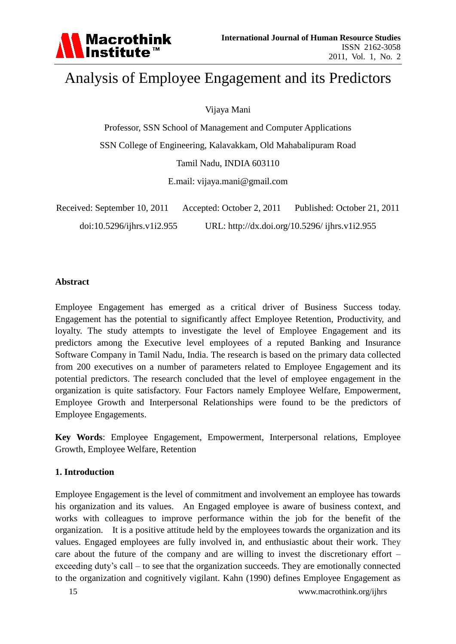

# Analysis of Employee Engagement and its Predictors

Vijaya Mani

Professor, SSN School of Management and Computer Applications SSN College of Engineering, Kalavakkam, Old Mahabalipuram Road Tamil Nadu, INDIA 603110

E.mail: vijaya.mani@gmail.com

| Received: September 10, 2011 | Accepted: October 2, 2011                      | Published: October 21, 2011 |
|------------------------------|------------------------------------------------|-----------------------------|
| doi:10.5296/ijhrs.v1i2.955   | URL: http://dx.doi.org/10.5296/ ijhrs.v1i2.955 |                             |

#### **Abstract**

Employee Engagement has emerged as a critical driver of Business Success today. Engagement has the potential to significantly affect Employee Retention, Productivity, and loyalty. The study attempts to investigate the level of Employee Engagement and its predictors among the Executive level employees of a reputed Banking and Insurance Software Company in Tamil Nadu, India. The research is based on the primary data collected from 200 executives on a number of parameters related to Employee Engagement and its potential predictors. The research concluded that the level of employee engagement in the organization is quite satisfactory. Four Factors namely Employee Welfare, Empowerment, Employee Growth and Interpersonal Relationships were found to be the predictors of Employee Engagements.

**Key Words**: Employee Engagement, Empowerment, Interpersonal relations, Employee Growth, Employee Welfare, Retention

### **1. Introduction**

Employee Engagement is the level of commitment and involvement an employee has towards his organization and its values. An Engaged employee is aware of business context, and works with colleagues to improve performance within the job for the benefit of the organization. It is a positive attitude held by the employees towards the organization and its values. Engaged employees are fully involved in, and enthusiastic about their work. They care about the future of the company and are willing to invest the discretionary effort – exceeding duty's call – to see that the organization succeeds. They are emotionally connected to the organization and cognitively vigilant. Kahn (1990) defines Employee Engagement as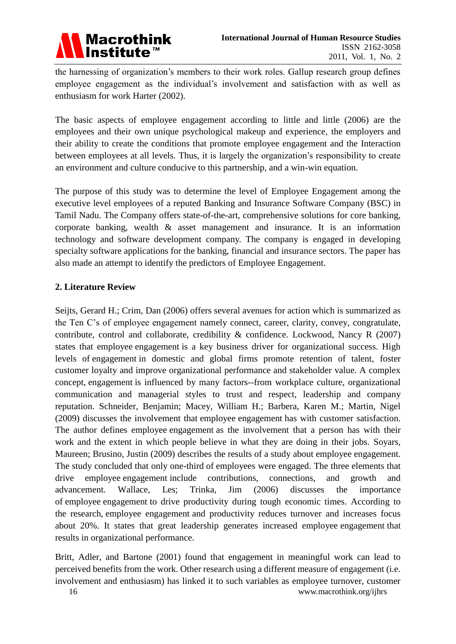

the harnessing of organization's members to their work roles. Gallup research group defines employee engagement as the individual's involvement and satisfaction with as well as enthusiasm for work Harter (2002).

The basic aspects of employee engagement according to little and little (2006) are the employees and their own unique psychological makeup and experience, the employers and their ability to create the conditions that promote employee engagement and the Interaction between employees at all levels. Thus, it is largely the organization's responsibility to create an environment and culture conducive to this partnership, and a win-win equation.

The purpose of this study was to determine the level of Employee Engagement among the executive level employees of a reputed Banking and Insurance Software Company (BSC) in Tamil Nadu. The Company offers state-of-the-art, comprehensive solutions for core banking, corporate banking, wealth & asset management and insurance. It is an information technology and software development company. The company is engaged in developing specialty software applications for the banking, financial and insurance sectors. The paper has also made an attempt to identify the predictors of Employee Engagement.

#### **2. Literature Review**

Seijts, Gerard H.; Crim, Dan (2006) offers several avenues for action which is summarized as the Ten C's of employee engagement namely connect, career, clarity, convey, congratulate, contribute, control and collaborate, credibility  $\&$  confidence. Lockwood, Nancy R (2007) states that employee engagement is a key business driver for organizational success. High levels of engagement in domestic and global firms promote retention of talent, foster customer loyalty and improve organizational performance and stakeholder value. A complex concept, engagement is influenced by many factors--from workplace culture, organizational communication and managerial styles to trust and respect, leadership and company reputation. Schneider, Benjamin; Macey, William H.; Barbera, Karen M.; Martin, Nigel (2009) discusses the involvement that employee engagement has with customer satisfaction. The author defines employee engagement as the involvement that a person has with their work and the extent in which people believe in what they are doing in their jobs. Soyars, Maureen; Brusino, Justin (2009) describes the results of a study about employee engagement. The study concluded that only one-third of employees were engaged. The three elements that drive employee engagement include contributions, connections, and growth and advancement. Wallace, Les; Trinka, Jim (2006) discusses the importance of employee engagement to drive productivity during tough economic times. According to the research, employee engagement and productivity reduces turnover and increases focus about 20%. It states that great leadership generates increased employee engagement that results in organizational performance.

Britt, Adler, and Bartone (2001) found that engagement in meaningful work can lead to perceived benefits from the work. Other research using a different measure of engagement (i.e. involvement and enthusiasm) has linked it to such variables as employee turnover, customer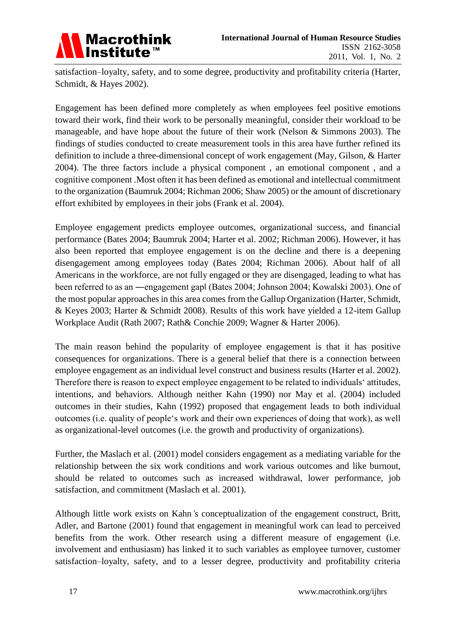

satisfaction–loyalty, safety, and to some degree, productivity and profitability criteria (Harter, Schmidt, & Hayes 2002).

Engagement has been defined more completely as when employees feel positive emotions toward their work, find their work to be personally meaningful, consider their workload to be manageable, and have hope about the future of their work (Nelson & Simmons 2003). The findings of studies conducted to create measurement tools in this area have further refined its definition to include a three-dimensional concept of work engagement (May, Gilson, & Harter 2004). The three factors include a physical component , an emotional component , and a cognitive component .Most often it has been defined as emotional and intellectual commitment to the organization (Baumruk 2004; Richman 2006; Shaw 2005) or the amount of discretionary effort exhibited by employees in their jobs (Frank et al. 2004).

Employee engagement predicts employee outcomes, organizational success, and financial performance (Bates 2004; Baumruk 2004; Harter et al. 2002; Richman 2006). However, it has also been reported that employee engagement is on the decline and there is a deepening disengagement among employees today (Bates 2004; Richman 2006). About half of all Americans in the workforce, are not fully engaged or they are disengaged, leading to what has been referred to as an ―engagement gap‖ (Bates 2004; Johnson 2004; Kowalski 2003). One of the most popular approaches in this area comes from the Gallup Organization (Harter, Schmidt, & Keyes 2003; Harter & Schmidt 2008). Results of this work have yielded a 12-item Gallup Workplace Audit (Rath 2007; Rath& Conchie 2009; Wagner & Harter 2006).

The main reason behind the popularity of employee engagement is that it has positive consequences for organizations. There is a general belief that there is a connection between employee engagement as an individual level construct and business results (Harter et al. 2002). Therefore there is reason to expect employee engagement to be related to individuals' attitudes, intentions, and behaviors. Although neither Kahn (1990) nor May et al. (2004) included outcomes in their studies, Kahn (1992) proposed that engagement leads to both individual outcomes (i.e. quality of people's work and their own experiences of doing that work), as well as organizational-level outcomes (i.e. the growth and productivity of organizations).

Further, the Maslach et al. (2001) model considers engagement as a mediating variable for the relationship between the six work conditions and work various outcomes and like burnout, should be related to outcomes such as increased withdrawal, lower performance, job satisfaction, and commitment (Maslach et al. 2001).

Although little work exists on Kahn*'*s conceptualization of the engagement construct, Britt, Adler, and Bartone (2001) found that engagement in meaningful work can lead to perceived benefits from the work. Other research using a different measure of engagement (i.e. involvement and enthusiasm) has linked it to such variables as employee turnover, customer satisfaction–loyalty, safety, and to a lesser degree, productivity and profitability criteria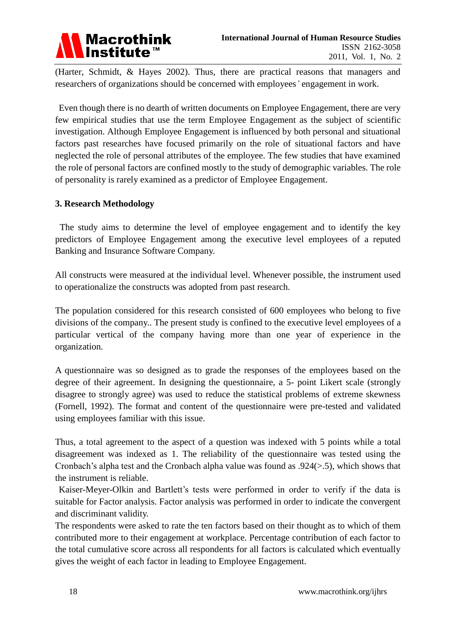

(Harter, Schmidt, & Hayes 2002). Thus, there are practical reasons that managers and researchers of organizations should be concerned with employees*'* engagement in work.

Even though there is no dearth of written documents on Employee Engagement, there are very few empirical studies that use the term Employee Engagement as the subject of scientific investigation. Although Employee Engagement is influenced by both personal and situational factors past researches have focused primarily on the role of situational factors and have neglected the role of personal attributes of the employee. The few studies that have examined the role of personal factors are confined mostly to the study of demographic variables. The role of personality is rarely examined as a predictor of Employee Engagement.

#### **3. Research Methodology**

The study aims to determine the level of employee engagement and to identify the key predictors of Employee Engagement among the executive level employees of a reputed Banking and Insurance Software Company.

All constructs were measured at the individual level. Whenever possible, the instrument used to operationalize the constructs was adopted from past research.

The population considered for this research consisted of 600 employees who belong to five divisions of the company.. The present study is confined to the executive level employees of a particular vertical of the company having more than one year of experience in the organization.

A questionnaire was so designed as to grade the responses of the employees based on the degree of their agreement. In designing the questionnaire, a 5- point Likert scale (strongly disagree to strongly agree) was used to reduce the statistical problems of extreme skewness (Fornell, 1992). The format and content of the questionnaire were pre-tested and validated using employees familiar with this issue.

Thus, a total agreement to the aspect of a question was indexed with 5 points while a total disagreement was indexed as 1. The reliability of the questionnaire was tested using the Cronbach's alpha test and the Cronbach alpha value was found as .924(>.5), which shows that the instrument is reliable.

Kaiser-Meyer-Olkin and Bartlett's tests were performed in order to verify if the data is suitable for Factor analysis. Factor analysis was performed in order to indicate the convergent and discriminant validity.

The respondents were asked to rate the ten factors based on their thought as to which of them contributed more to their engagement at workplace. Percentage contribution of each factor to the total cumulative score across all respondents for all factors is calculated which eventually gives the weight of each factor in leading to Employee Engagement.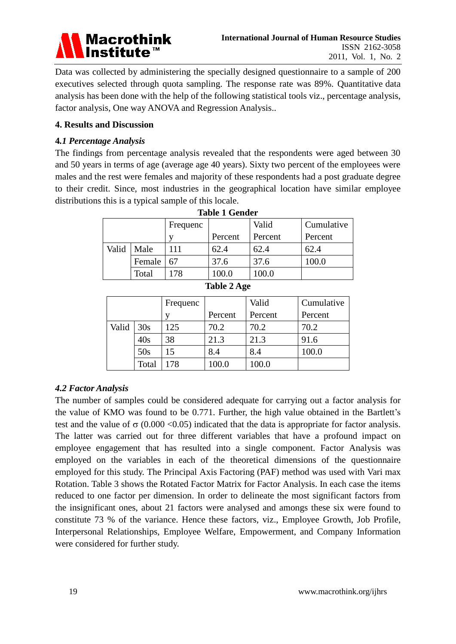

Data was collected by administering the specially designed questionnaire to a sample of 200 executives selected through quota sampling. The response rate was 89%. Quantitative data analysis has been done with the help of the following statistical tools viz., percentage analysis, factor analysis, One way ANOVA and Regression Analysis..

#### **4. Results and Discussion**

#### **4***.1 Percentage Analysis*

The findings from percentage analysis revealed that the respondents were aged between 30 and 50 years in terms of age (average age 40 years). Sixty two percent of the employees were males and the rest were females and majority of these respondents had a post graduate degree to their credit. Since, most industries in the geographical location have similar employee distributions this is a typical sample of this locale.

|       |        | Frequenc |         | Valid   | Cumulative |
|-------|--------|----------|---------|---------|------------|
|       |        |          | Percent | Percent | Percent    |
| Valid | Male   | 111      | 62.4    | 62.4    | 62.4       |
|       | Female | 67       | 37.6    | 37.6    | 100.0      |
|       | Total  | 178      | 100.0   | 100.0   |            |

#### **Table 1 Gender**

|       |       | Frequenc |         | Valid   | Cumulative |
|-------|-------|----------|---------|---------|------------|
|       |       |          | Percent | Percent | Percent    |
| Valid | 30s   | 125      | 70.2    | 70.2    | 70.2       |
|       | 40s   | 38       | 21.3    | 21.3    | 91.6       |
|       | 50s   | 15       | 8.4     | 8.4     | 100.0      |
|       | Total | 178      | 0.00    | 100.0   |            |

### *4.2 Factor Analysis*

The number of samples could be considered adequate for carrying out a factor analysis for the value of KMO was found to be 0.771. Further, the high value obtained in the Bartlett's test and the value of  $\sigma$  (0.000 <0.05) indicated that the data is appropriate for factor analysis. The latter was carried out for three different variables that have a profound impact on employee engagement that has resulted into a single component. Factor Analysis was employed on the variables in each of the theoretical dimensions of the questionnaire employed for this study. The Principal Axis Factoring (PAF) method was used with Vari max Rotation. Table 3 shows the Rotated Factor Matrix for Factor Analysis. In each case the items reduced to one factor per dimension. In order to delineate the most significant factors from the insignificant ones, about 21 factors were analysed and amongs these six were found to constitute 73 % of the variance. Hence these factors, viz., Employee Growth, Job Profile, Interpersonal Relationships, Employee Welfare, Empowerment, and Company Information were considered for further study.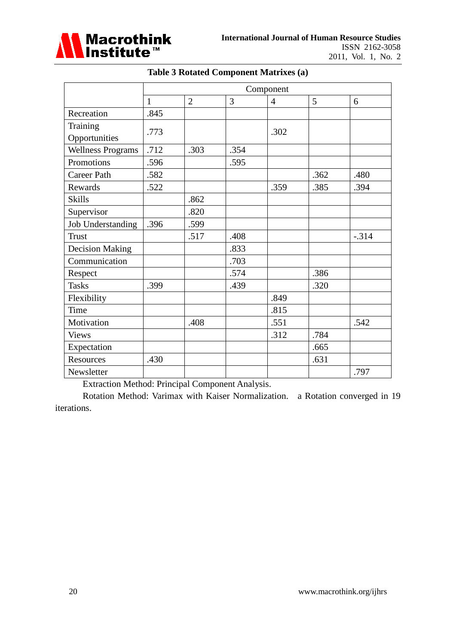

|                          | Component    |                |      |                |      |         |
|--------------------------|--------------|----------------|------|----------------|------|---------|
|                          | $\mathbf{1}$ | $\overline{2}$ | 3    | $\overline{4}$ | 5    | 6       |
| Recreation               | .845         |                |      |                |      |         |
| Training                 | .773         |                |      | .302           |      |         |
| Opportunities            |              |                |      |                |      |         |
| <b>Wellness Programs</b> | .712         | .303           | .354 |                |      |         |
| Promotions               | .596         |                | .595 |                |      |         |
| <b>Career Path</b>       | .582         |                |      |                | .362 | .480    |
| <b>Rewards</b>           | .522         |                |      | .359           | .385 | .394    |
| <b>Skills</b>            |              | .862           |      |                |      |         |
| Supervisor               |              | .820           |      |                |      |         |
| <b>Job Understanding</b> | .396         | .599           |      |                |      |         |
| <b>Trust</b>             |              | .517           | .408 |                |      | $-.314$ |
| <b>Decision Making</b>   |              |                | .833 |                |      |         |
| Communication            |              |                | .703 |                |      |         |
| Respect                  |              |                | .574 |                | .386 |         |
| <b>Tasks</b>             | .399         |                | .439 |                | .320 |         |
| Flexibility              |              |                |      | .849           |      |         |
| Time                     |              |                |      | .815           |      |         |
| Motivation               |              | .408           |      | .551           |      | .542    |
| <b>Views</b>             |              |                |      | .312           | .784 |         |
| Expectation              |              |                |      |                | .665 |         |
| Resources                | .430         |                |      |                | .631 |         |
| Newsletter               |              |                |      |                |      | .797    |

## **Table 3 Rotated Component Matrixes (a)**

Extraction Method: Principal Component Analysis.

Rotation Method: Varimax with Kaiser Normalization. a Rotation converged in 19 iterations.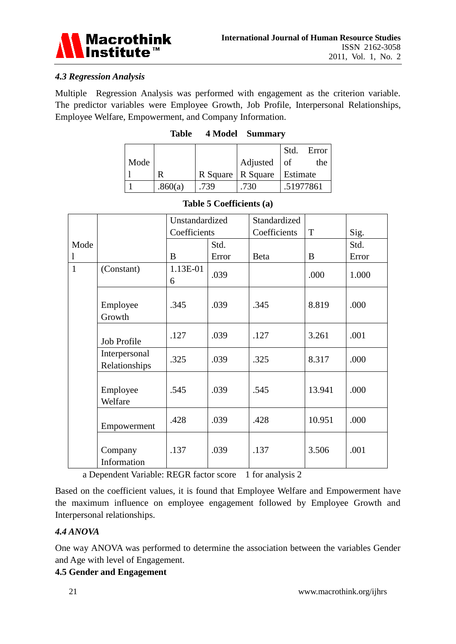

### *4.3 Regression Analysis*

Multiple Regression Analysis was performed with engagement as the criterion variable. The predictor variables were Employee Growth, Job Profile, Interpersonal Relationships, Employee Welfare, Empowerment, and Company Information.

|      |         |     |                     | Std.      | Error |
|------|---------|-----|---------------------|-----------|-------|
| Mode |         |     | Adjusted $\vert$ of |           | the   |
|      |         |     | R Square   R Square | Estimate  |       |
|      | .860(a) | 739 | .730                | .51977861 |       |

| Table | 4 Model | <b>Summary</b> |
|-------|---------|----------------|
|-------|---------|----------------|

|                |                                | Unstandardized |       | Standardized |             |       |
|----------------|--------------------------------|----------------|-------|--------------|-------------|-------|
|                |                                | Coefficients   |       | Coefficients | $\mathbf T$ | Sig.  |
| Mode           |                                |                | Std.  |              |             | Std.  |
| $\mathbf{l}$   |                                | B              | Error | Beta         | B           | Error |
| $\overline{1}$ | (Constant)                     | 1.13E-01<br>6  | .039  |              | .000        | 1.000 |
|                | Employee<br>Growth             | .345           | .039  | .345         | 8.819       | .000  |
|                | Job Profile                    | .127           | .039  | .127         | 3.261       | .001  |
|                | Interpersonal<br>Relationships | .325           | .039  | .325         | 8.317       | .000  |
|                | Employee<br>Welfare            | .545           | .039  | .545         | 13.941      | .000  |
|                | Empowerment                    | .428           | .039  | .428         | 10.951      | .000  |
|                | Company<br>Information         | .137           | .039  | .137         | 3.506       | .001  |

#### **Table 5 Coefficients (a)**

a Dependent Variable: REGR factor score 1 for analysis 2

Based on the coefficient values, it is found that Employee Welfare and Empowerment have the maximum influence on employee engagement followed by Employee Growth and Interpersonal relationships.

### *4.4 ANOVA*

One way ANOVA was performed to determine the association between the variables Gender and Age with level of Engagement.

### **4.5 Gender and Engagement**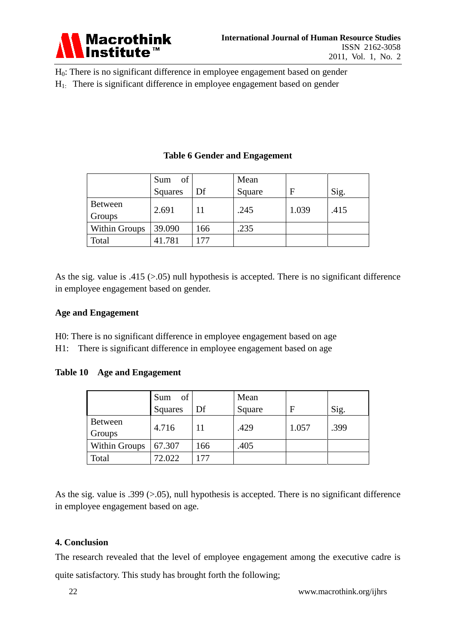

H0: There is no significant difference in employee engagement based on gender

 $H<sub>1</sub>$ : There is significant difference in employee engagement based on gender

|                      | of<br>Sum |     | Mean   |       |      |
|----------------------|-----------|-----|--------|-------|------|
|                      | Squares   | Df  | Square | F     | Sig. |
| Between<br>Groups    | 2.691     |     | .245   | 1.039 | .415 |
| <b>Within Groups</b> | 39.090    | 166 | .235   |       |      |
| Total                | 41.781    | 177 |        |       |      |

## **Table 6 Gender and Engagement**

As the sig. value is  $.415$  ( $> 0.05$ ) null hypothesis is accepted. There is no significant difference in employee engagement based on gender.

### **Age and Engagement**

H0: There is no significant difference in employee engagement based on age H1: There is significant difference in employee engagement based on age

### **Table 10 Age and Engagement**

|                      | of<br>Sum      |     | Mean   |       |      |
|----------------------|----------------|-----|--------|-------|------|
|                      | <b>Squares</b> | Df  | Square | F     | Sig. |
| Between<br>Groups    | 4.716          |     | .429   | 1.057 | .399 |
| <b>Within Groups</b> | 67.307         | 166 | .405   |       |      |
| Total                | 72.022         |     |        |       |      |

As the sig. value is .399 (>.05), null hypothesis is accepted. There is no significant difference in employee engagement based on age.

### **4. Conclusion**

The research revealed that the level of employee engagement among the executive cadre is quite satisfactory. This study has brought forth the following;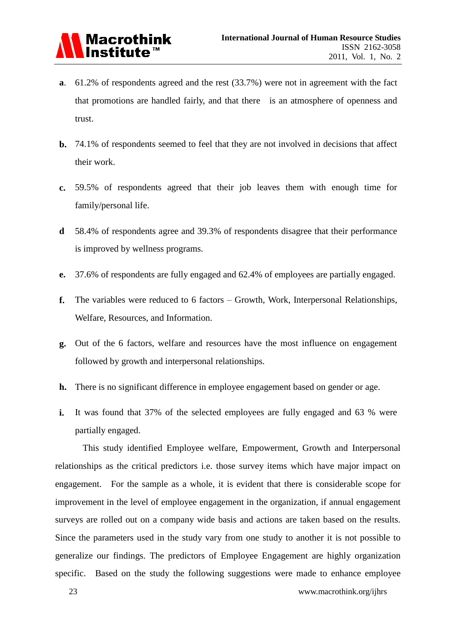

- **a**. 61.2% of respondents agreed and the rest (33.7%) were not in agreement with the fact that promotions are handled fairly, and that there is an atmosphere of openness and trust.
- **b.** 74.1% of respondents seemed to feel that they are not involved in decisions that affect their work.
- **c.** 59.5% of respondents agreed that their job leaves them with enough time for family/personal life.
- **d** 58.4% of respondents agree and 39.3% of respondents disagree that their performance is improved by wellness programs.
- **e.** 37.6% of respondents are fully engaged and 62.4% of employees are partially engaged.
- **f.** The variables were reduced to 6 factors Growth, Work, Interpersonal Relationships, Welfare, Resources, and Information.
- **g.** Out of the 6 factors, welfare and resources have the most influence on engagement followed by growth and interpersonal relationships.
- **h.** There is no significant difference in employee engagement based on gender or age.
- **i.** It was found that 37% of the selected employees are fully engaged and 63 % were partially engaged.

This study identified Employee welfare, Empowerment, Growth and Interpersonal relationships as the critical predictors i.e. those survey items which have major impact on engagement. For the sample as a whole, it is evident that there is considerable scope for improvement in the level of employee engagement in the organization, if annual engagement surveys are rolled out on a company wide basis and actions are taken based on the results. Since the parameters used in the study vary from one study to another it is not possible to generalize our findings. The predictors of Employee Engagement are highly organization specific. Based on the study the following suggestions were made to enhance employee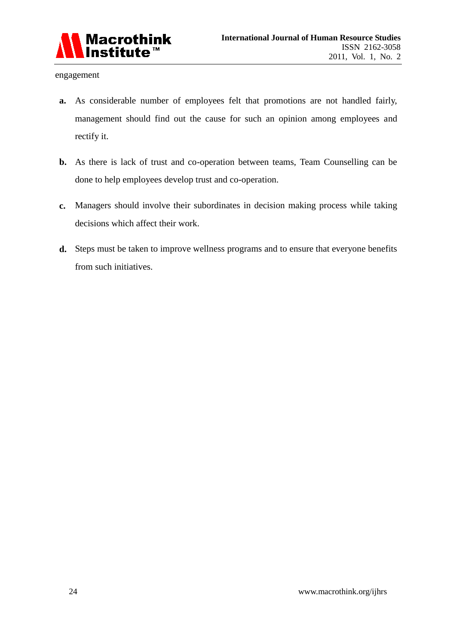

engagement

- **a.** As considerable number of employees felt that promotions are not handled fairly, management should find out the cause for such an opinion among employees and rectify it.
- **b.** As there is lack of trust and co-operation between teams, Team Counselling can be done to help employees develop trust and co-operation.
- **c.** Managers should involve their subordinates in decision making process while taking decisions which affect their work.
- **d.** Steps must be taken to improve wellness programs and to ensure that everyone benefits from such initiatives.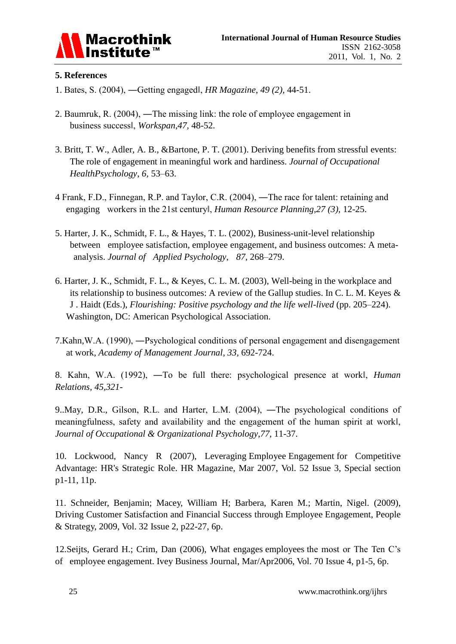

### **5. References**

- 1. Bates, S. (2004), ―Getting engaged‖, *HR Magazine*, *49 (2),* 44-51.
- 2. Baumruk, R. (2004), ―The missing link: the role of employee engagement in business success‖, *Workspan*,*47,* 48-52.
- 3. Britt, T. W., Adler, A. B., &Bartone, P. T. (2001). Deriving benefits from stressful events: The role of engagement in meaningful work and hardiness. *Journal of Occupational HealthPsychology*, *6,* 53–63.
- 4 Frank, F.D., Finnegan, R.P. and Taylor, C.R. (2004), ―The race for talent: retaining and engaging workers in the 21st century‖, *Human Resource Planning,27 (3),* 12-25.
- 5. Harter, J. K., Schmidt, F. L., & Hayes, T. L. (2002), Business-unit-level relationship between employee satisfaction, employee engagement, and business outcomes: A meta analysis. *Journal of Applied Psychology*, *87,* 268–279.
- 6. Harter, J. K., Schmidt, F. L., & Keyes, C. L. M. (2003), Well-being in the workplace and its relationship to business outcomes: A review of the Gallup studies. In C. L. M. Keyes & J . Haidt (Eds.), *Flourishing: Positive psychology and the life well-lived* (pp. 205–224). Washington, DC: American Psychological Association.
- 7.Kahn,W.A. (1990), ―Psychological conditions of personal engagement and disengagement at work, *Academy of Management Journal*, *33,* 692-724.

8. Kahn, W.A. (1992), ―To be full there: psychological presence at work‖, *Human Relations, 45,321*-

9..May, D.R., Gilson, R.L. and Harter, L.M. (2004), ―The psychological conditions of meaningfulness, safety and availability and the engagement of the human spirit at work‖, *Journal of Occupational & Organizational Psychology*,*77,* 11-37.

10. Lockwood, Nancy R (2007), Leveraging Employee Engagement for Competitive Advantage: HR's Strategic Role. HR Magazine, Mar 2007, Vol. 52 Issue 3, Special section p1-11, 11p.

11. Schneider, Benjamin; Macey, William H; Barbera, Karen M.; Martin, Nigel. (2009), Driving Customer Satisfaction and Financial Success through Employee Engagement, People & Strategy, 2009, Vol. 32 Issue 2, p22-27, 6p.

12.Seijts, Gerard H.; Crim, Dan (2006), What engages employees the most or The Ten C's of employee engagement. Ivey Business Journal, Mar/Apr2006, Vol. 70 Issue 4, p1-5, 6p.